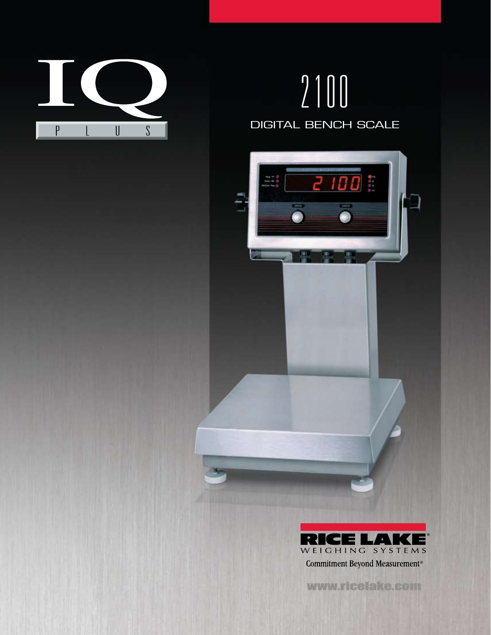

## 2100 DIGITAL BENCH SCALE





www.ricelake.com